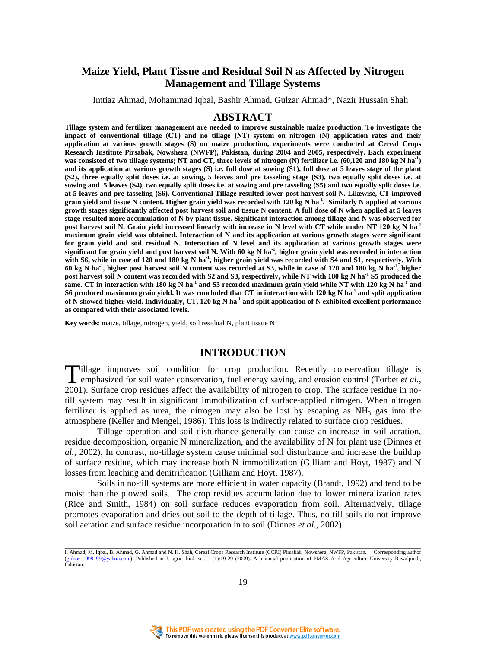# **Maize Yield, Plant Tissue and Residual Soil N as Affected by Nitrogen Management and Tillage Systems**

Imtiaz Ahmad, Mohammad Iqbal, Bashir Ahmad, Gulzar Ahmad\*, Nazir Hussain Shah

#### **ABSTRACT**

**Tillage system and fertilizer management are needed to improve sustainable maize production. To investigate the impact of conventional tillage (CT) and no tillage (NT) system on nitrogen (N) application rates and their application at various growth stages (S) on maize production, experiments were conducted at Cereal Crops Research Institute Pirsabak, Nowshera (NWFP), Pakistan, during 2004 and 2005, respectively. Each experiment was consisted of two tillage systems; NT and CT, three levels of nitrogen (N) fertilizer i.e. (60,120 and 180 kg N ha-1) and its application at various growth stages (S) i.e. full dose at sowing (S1), full dose at 5 leaves stage of the plant (S2), three equally split doses i.e. at sowing, 5 leaves and pre tasseling stage (S3), two equally split doses i.e. at sowing and 5 leaves (S4), two equally split doses i.e. at sowing and pre tasseling (S5) and two equally split doses i.e. at 5 leaves and pre tasseling (S6). Conventional Tillage resulted lower post harvest soil N. Likewise, CT improved grain yield and tissue N content. Higher grain yield was recorded with 120 kg N ha-1. Similarly N applied at various growth stages significantly affected post harvest soil and tissue N content. A full dose of N when applied at 5 leaves stage resulted more accumulation of N by plant tissue. Significant interaction among tillage and N was observed for post harvest soil N. Grain yield increased linearly with increase in N level with CT while under NT 120 kg N ha-1 maximum grain yield was obtained. Interaction of N and its application at various growth stages were significant for grain yield and soil residual N. Interaction of N level and its application at various growth stages were significant for grain yield and post harvest soil N. With 60 kg N ha-1, higher grain yield was recorded in interaction with S6, while in case of 120 and 180 kg N ha-1, higher grain yield was recorded with S4 and S1, respectively. With 60 kg N ha-1, higher post harvest soil N content was recorded at S3, while in case of 120 and 180 kg N ha-1, higher post harvest soil N content was recorded with S2 and S3, respectively, while NT with 180 kg N ha-1 S5 produced the same. CT in interaction with 180 kg N ha-1 and S3 recorded maximum grain yield while NT with 120 kg N ha-1 and S6 produced maximum grain yield. It was concluded that CT in interaction with 120 kg N ha-1 and split application of N showed higher yield. Individually, CT, 120 kg N ha-1 and split application of N exhibited excellent performance as compared with their associated levels.** 

**Key words**: maize, tillage, nitrogen, yield, soil residual N, plant tissue N

# **INTRODUCTION**

Tillage improves soil condition for crop production. Recently conservation tillage is emphasized for soil water conservation, fuel energy saving, and erosity control (Torbet *et al.*, 2001).  $\int_0^{\infty}$ **L** emphasized for soil water conservation, fuel energy saving, and erosion control (Torbet *et al.*, 2001). Surface crop residues affect the availability of nitrogen to crop. The surface residue in notill system may result in significant immobilization of surface-applied nitrogen. When nitrogen fertilizer is applied as urea, the nitrogen may also be lost by escaping as  $NH<sub>3</sub>$  gas into the atmosphere (Keller and Mengel, 1986). This loss is indirectly related to surface crop residues.

 Tillage operation and soil disturbance generally can cause an increase in soil aeration, residue decomposition, organic N mineralization, and the availability of N for plant use (Dinnes *et al.*, 2002). In contrast, no-tillage system cause minimal soil disturbance and increase the buildup of surface residue, which may increase both N immobilization (Gilliam and Hoyt, 1987) and N losses from leaching and denitrification (Gilliam and Hoyt, 1987).

 Soils in no-till systems are more efficient in water capacity (Brandt, 1992) and tend to be moist than the plowed soils. The crop residues accumulation due to lower mineralization rates (Rice and Smith, 1984) on soil surface reduces evaporation from soil. Alternatively, tillage promotes evaporation and dries out soil to the depth of tillage. Thus, no-till soils do not improve soil aeration and surface residue incorporation in to soil (Dinnes *et al.*, 2002).



I. Ahmad, M. Iqbal, B. Ahmad, G. Ahmad and N. H. Shah, Cereal Crops Research Institute (CCRI) Pirsabak, Nowshera, NWFP, Pakistan. \* Corresponding author (gulzar\_1999\_99@yahoo.com). Published in J. agric. biol. sci. 1 (1):19-29 (2009). A biannual publication of PMAS Arid Agriculture University Rawalpindi, Pakistan.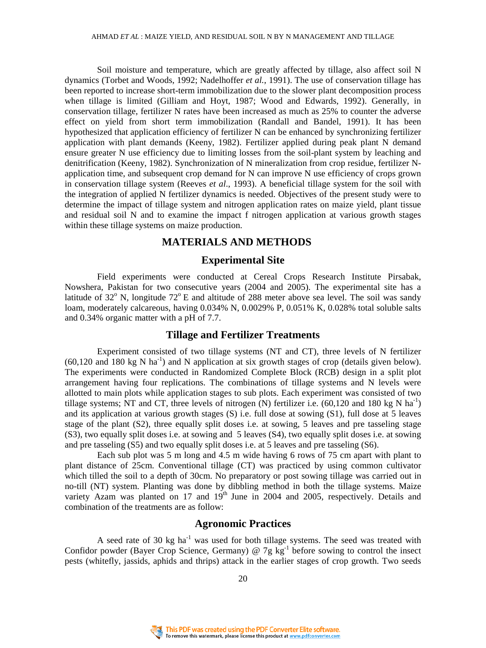Soil moisture and temperature, which are greatly affected by tillage, also affect soil N dynamics (Torbet and Woods, 1992; Nadelhoffer *et al.*, 1991). The use of conservation tillage has been reported to increase short-term immobilization due to the slower plant decomposition process when tillage is limited (Gilliam and Hoyt, 1987; Wood and Edwards, 1992). Generally, in conservation tillage, fertilizer N rates have been increased as much as 25% to counter the adverse effect on yield from short term immobilization (Randall and Bandel, 1991). It has been hypothesized that application efficiency of fertilizer N can be enhanced by synchronizing fertilizer application with plant demands (Keeny, 1982). Fertilizer applied during peak plant N demand ensure greater N use efficiency due to limiting losses from the soil-plant system by leaching and denitrification (Keeny, 1982). Synchronization of N mineralization from crop residue, fertilizer Napplication time, and subsequent crop demand for N can improve N use efficiency of crops grown in conservation tillage system (Reeves *et al*., 1993). A beneficial tillage system for the soil with the integration of applied N fertilizer dynamics is needed. Objectives of the present study were to determine the impact of tillage system and nitrogen application rates on maize yield, plant tissue and residual soil N and to examine the impact f nitrogen application at various growth stages within these tillage systems on maize production.

# **MATERIALS AND METHODS**

## **Experimental Site**

 Field experiments were conducted at Cereal Crops Research Institute Pirsabak, Nowshera, Pakistan for two consecutive years (2004 and 2005). The experimental site has a latitude of  $32^{\circ}$  N, longitude  $72^{\circ}$  E and altitude of 288 meter above sea level. The soil was sandy loam, moderately calcareous, having 0.034% N, 0.0029% P, 0.051% K, 0.028% total soluble salts and 0.34% organic matter with a pH of 7.7.

## **Tillage and Fertilizer Treatments**

 Experiment consisted of two tillage systems (NT and CT), three levels of N fertilizer  $(60,120 \text{ and } 180 \text{ kg N} \text{ ha}^{-1})$  and N application at six growth stages of crop (details given below). The experiments were conducted in Randomized Complete Block (RCB) design in a split plot arrangement having four replications. The combinations of tillage systems and N levels were allotted to main plots while application stages to sub plots. Each experiment was consisted of two tillage systems; NT and CT, three levels of nitrogen (N) fertilizer i.e.  $(60,120$  and 180 kg N ha<sup>-1</sup>) and its application at various growth stages (S) i.e. full dose at sowing (S1), full dose at 5 leaves stage of the plant (S2), three equally split doses i.e. at sowing, 5 leaves and pre tasseling stage (S3), two equally split doses i.e. at sowing and 5 leaves (S4), two equally split doses i.e. at sowing and pre tasseling (S5) and two equally split doses i.e. at 5 leaves and pre tasseling (S6).

 Each sub plot was 5 m long and 4.5 m wide having 6 rows of 75 cm apart with plant to plant distance of 25cm. Conventional tillage (CT) was practiced by using common cultivator which tilled the soil to a depth of 30cm. No preparatory or post sowing tillage was carried out in no-till (NT) system. Planting was done by dibbling method in both the tillage systems. Maize variety Azam was planted on 17 and  $19<sup>th</sup>$  June in 2004 and 2005, respectively. Details and combination of the treatments are as follow:

# **Agronomic Practices**

A seed rate of 30 kg ha<sup>-1</sup> was used for both tillage systems. The seed was treated with Confidor powder (Bayer Crop Science, Germany)  $\omega$  7g kg<sup>-1</sup> before sowing to control the insect pests (whitefly, jassids, aphids and thrips) attack in the earlier stages of crop growth. Two seeds

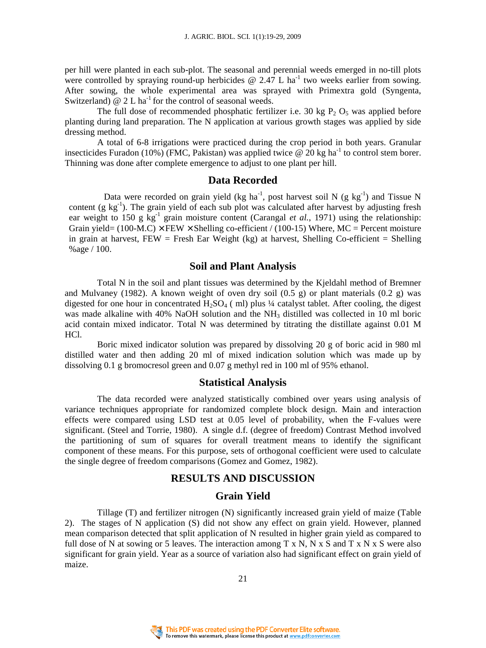per hill were planted in each sub-plot. The seasonal and perennial weeds emerged in no-till plots were controlled by spraying round-up herbicides  $\omega$  2.47 L ha<sup>-1</sup> two weeks earlier from sowing. After sowing, the whole experimental area was sprayed with Primextra gold (Syngenta, Switzerland)  $\omega$  2 L ha<sup>-1</sup> for the control of seasonal weeds.

The full dose of recommended phosphatic fertilizer i.e. 30 kg  $P_2 O_5$  was applied before planting during land preparation. The N application at various growth stages was applied by side dressing method.

 A total of 6-8 irrigations were practiced during the crop period in both years. Granular insecticides Furadon (10%) (FMC, Pakistan) was applied twice  $\omega$  20 kg ha<sup>-1</sup> to control stem borer. Thinning was done after complete emergence to adjust to one plant per hill.

## **Data Recorded**

Data were recorded on grain yield (kg ha<sup>-1</sup>, post harvest soil N (g kg<sup>-1</sup>) and Tissue N content (g  $kg^{-1}$ ). The grain yield of each sub plot was calculated after harvest by adjusting fresh ear weight to 150 g  $kg^{-1}$  grain moisture content (Carangal *et al.*, 1971) using the relationship: Grain yield=  $(100-M.C) \times FEW \times$  Shelling co-efficient /  $(100-15)$  Where, MC = Percent moisture in grain at harvest, FEW = Fresh Ear Weight (kg) at harvest, Shelling Co-efficient = Shelling %age / 100.

#### **Soil and Plant Analysis**

 Total N in the soil and plant tissues was determined by the Kjeldahl method of Bremner and Mulvaney (1982). A known weight of oven dry soil  $(0.5 \text{ g})$  or plant materials  $(0.2 \text{ g})$  was digested for one hour in concentrated  $H_2SO_4$  (ml) plus ¼ catalyst tablet. After cooling, the digest was made alkaline with 40% NaOH solution and the NH<sub>3</sub> distilled was collected in 10 ml boric acid contain mixed indicator. Total N was determined by titrating the distillate against 0.01 M HCl.

 Boric mixed indicator solution was prepared by dissolving 20 g of boric acid in 980 ml distilled water and then adding 20 ml of mixed indication solution which was made up by dissolving 0.1 g bromocresol green and 0.07 g methyl red in 100 ml of 95% ethanol.

## **Statistical Analysis**

 The data recorded were analyzed statistically combined over years using analysis of variance techniques appropriate for randomized complete block design. Main and interaction effects were compared using LSD test at 0.05 level of probability, when the F-values were significant. (Steel and Torrie, 1980). A single d.f. (degree of freedom) Contrast Method involved the partitioning of sum of squares for overall treatment means to identify the significant component of these means. For this purpose, sets of orthogonal coefficient were used to calculate the single degree of freedom comparisons (Gomez and Gomez, 1982).

# **RESULTS AND DISCUSSION**

## **Grain Yield**

 Tillage (T) and fertilizer nitrogen (N) significantly increased grain yield of maize (Table 2). The stages of N application (S) did not show any effect on grain yield. However, planned mean comparison detected that split application of N resulted in higher grain yield as compared to full dose of N at sowing or 5 leaves. The interaction among  $T \times N$ , N  $\times S$  and T  $\times N \times S$  were also significant for grain yield. Year as a source of variation also had significant effect on grain yield of maize.

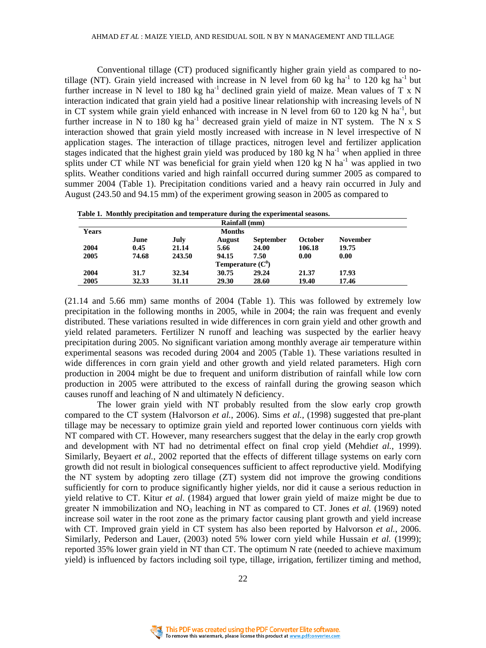Conventional tillage (CT) produced significantly higher grain yield as compared to notillage (NT). Grain yield increased with increase in N level from 60 kg ha<sup>-1</sup> to 120 kg ha<sup>-1</sup> but further increase in N level to 180 kg ha<sup>-1</sup> declined grain yield of maize. Mean values of T x N interaction indicated that grain yield had a positive linear relationship with increasing levels of N in CT system while grain yield enhanced with increase in N level from 60 to 120 kg N ha<sup>-1</sup>, but further increase in N to 180 kg ha<sup>-1</sup> decreased grain yield of maize in NT system. The N x S interaction showed that grain yield mostly increased with increase in N level irrespective of N application stages. The interaction of tillage practices, nitrogen level and fertilizer application stages indicated that the highest grain yield was produced by 180 kg N ha<sup>-1</sup> when applied in three splits under CT while NT was beneficial for grain yield when  $120 \text{ kg N}$  ha<sup>-1</sup> was applied in two splits. Weather conditions varied and high rainfall occurred during summer 2005 as compared to summer 2004 (Table 1). Precipitation conditions varied and a heavy rain occurred in July and August (243.50 and 94.15 mm) of the experiment growing season in 2005 as compared to

| Lable 1. Monthly precipitation and temperature during the experimental seasons. |               |        |               |                  |         |                 |  |  |
|---------------------------------------------------------------------------------|---------------|--------|---------------|------------------|---------|-----------------|--|--|
| Rainfall (mm)                                                                   |               |        |               |                  |         |                 |  |  |
| <b>Years</b>                                                                    | <b>Months</b> |        |               |                  |         |                 |  |  |
|                                                                                 | June          | July   | <b>August</b> | <b>September</b> | October | <b>November</b> |  |  |
| 2004                                                                            | 0.45          | 21.14  | 5.66          | 24.00            | 106.18  | 19.75           |  |  |
| 2005                                                                            | 74.68         | 243.50 | 94.15         | 7.50             | 0.00    | 0.00            |  |  |
| Temperature $(C^0)$                                                             |               |        |               |                  |         |                 |  |  |
| 2004                                                                            | 31.7          | 32.34  | 30.75         | 29.24            | 21.37   | 17.93           |  |  |
| 2005                                                                            | 32.33         | 31.11  | 29.30         | 28.60            | 19.40   | 17.46           |  |  |

 **Table 1. Monthly precipitation and temperature during the experimental seasons.** 

(21.14 and 5.66 mm) same months of 2004 (Table 1). This was followed by extremely low precipitation in the following months in 2005, while in 2004; the rain was frequent and evenly distributed. These variations resulted in wide differences in corn grain yield and other growth and yield related parameters. Fertilizer N runoff and leaching was suspected by the earlier heavy precipitation during 2005. No significant variation among monthly average air temperature within experimental seasons was recoded during 2004 and 2005 (Table 1). These variations resulted in wide differences in corn grain yield and other growth and yield related parameters. High corn production in 2004 might be due to frequent and uniform distribution of rainfall while low corn production in 2005 were attributed to the excess of rainfall during the growing season which causes runoff and leaching of N and ultimately N deficiency.

 The lower grain yield with NT probably resulted from the slow early crop growth compared to the CT system (Halvorson *et al.*, 2006). Sims *et al.*, (1998) suggested that pre-plant tillage may be necessary to optimize grain yield and reported lower continuous corn yields with NT compared with CT. However, many researchers suggest that the delay in the early crop growth and development with NT had no detrimental effect on final crop yield (Mehdi*et al.*, 1999). Similarly, Beyaert *et al.*, 2002 reported that the effects of different tillage systems on early corn growth did not result in biological consequences sufficient to affect reproductive yield. Modifying the NT system by adopting zero tillage (ZT) system did not improve the growing conditions sufficiently for corn to produce significantly higher yields, nor did it cause a serious reduction in yield relative to CT. Kitur *et al*. (1984) argued that lower grain yield of maize might be due to greater N immobilization and  $NO<sub>3</sub>$  leaching in NT as compared to CT. Jones *et al.* (1969) noted increase soil water in the root zone as the primary factor causing plant growth and yield increase with CT. Improved grain yield in CT system has also been reported by Halvorson *et al.*, 2006. Similarly, Pederson and Lauer, (2003) noted 5% lower corn yield while Hussain *et al.* (1999); reported 35% lower grain yield in NT than CT. The optimum N rate (needed to achieve maximum yield) is influenced by factors including soil type, tillage, irrigation, fertilizer timing and method,

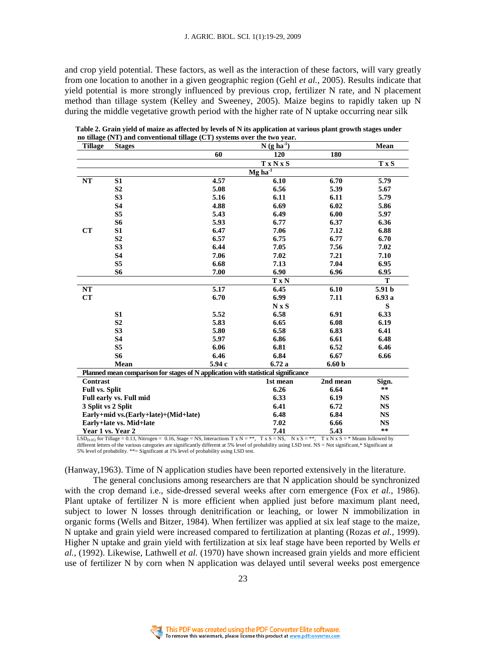and crop yield potential. These factors, as well as the interaction of these factors, will vary greatly from one location to another in a given geographic region (Gehl *et al.*, 2005). Results indicate that yield potential is more strongly influenced by previous crop, fertilizer N rate, and N placement method than tillage system (Kelley and Sweeney, 2005). Maize begins to rapidly taken up N during the middle vegetative growth period with the higher rate of N uptake occurring near silk

| <b>Tillage</b>                       | <b>Stages</b>                                                                     |                       | Mean                            |                   |               |  |  |
|--------------------------------------|-----------------------------------------------------------------------------------|-----------------------|---------------------------------|-------------------|---------------|--|--|
|                                      |                                                                                   | 60                    | $N(g\overline{ha}^{-1})$<br>120 | 180               |               |  |  |
|                                      |                                                                                   |                       | <b>TxNxS</b>                    |                   | T x S         |  |  |
|                                      |                                                                                   | $Mg$ ha <sup>-1</sup> |                                 |                   |               |  |  |
| NT                                   | S <sub>1</sub>                                                                    | 4.57                  | 6.10                            | 6.70              | 5.79          |  |  |
|                                      | S <sub>2</sub>                                                                    | 5.08                  | 6.56                            | 5.39              | 5.67          |  |  |
|                                      | S <sub>3</sub>                                                                    | 5.16                  | 6.11                            | 6.11              | 5.79          |  |  |
|                                      | <b>S4</b>                                                                         | 4.88                  | 6.69                            | 6.02              | 5.86          |  |  |
|                                      | S <sub>5</sub>                                                                    | 5.43                  | 6.49                            | 6.00              | 5.97          |  |  |
|                                      | <b>S6</b>                                                                         | 5.93                  | 6.77                            | 6.37              | 6.36          |  |  |
| CT                                   | S1                                                                                | 6.47                  | 7.06                            | 7.12              | 6.88          |  |  |
|                                      | S <sub>2</sub>                                                                    | 6.57                  | 6.75                            | 6.77              | 6.70          |  |  |
|                                      | S <sub>3</sub>                                                                    | 6.44                  | 7.05                            | 7.56              | 7.02          |  |  |
|                                      | <b>S4</b>                                                                         | 7.06                  | 7.02                            | 7.21              | 7.10          |  |  |
|                                      | S <sub>5</sub>                                                                    | 6.68                  | 7.13                            | 7.04              | 6.95          |  |  |
|                                      | S6                                                                                | 7.00                  | 6.90                            | 6.96              | 6.95          |  |  |
|                                      |                                                                                   |                       | T x N                           |                   | T             |  |  |
| NT                                   |                                                                                   | 5.17                  | 6.45                            | 6.10              | 5.91 b        |  |  |
| CT                                   |                                                                                   | 6.70                  | 6.99                            | 7.11              | 6.93 a        |  |  |
|                                      |                                                                                   |                       | $N \times S$                    |                   | S             |  |  |
|                                      | S1                                                                                | 5.52                  | 6.58                            | 6.91              | 6.33          |  |  |
|                                      | S <sub>2</sub>                                                                    | 5.83                  | 6.65                            | 6.08              | 6.19          |  |  |
|                                      | S <sub>3</sub>                                                                    | 5.80                  | 6.58                            | 6.83              | 6.41          |  |  |
|                                      | <b>S4</b>                                                                         | 5.97                  | 6.86                            | 6.61              | 6.48          |  |  |
|                                      | S <sub>5</sub>                                                                    | 6.06                  | 6.81                            | 6.52              | 6.46          |  |  |
|                                      | <b>S6</b>                                                                         | 6.46                  | 6.84                            | 6.67              | 6.66          |  |  |
|                                      | Mean                                                                              | 5.94 c                | 6.72a                           | 6.60 <sub>b</sub> |               |  |  |
|                                      | Planned mean comparison for stages of N application with statistical significance |                       |                                 |                   |               |  |  |
| Contrast                             |                                                                                   |                       | 1st mean                        | 2nd mean          | Sign.         |  |  |
| <b>Full vs. Split</b>                |                                                                                   |                       | 6.26                            | 6.64              | $\star \star$ |  |  |
| Full early vs. Full mid              |                                                                                   |                       | 6.33                            | 6.19              | <b>NS</b>     |  |  |
| 3 Split vs 2 Split                   |                                                                                   |                       | 6.41                            | 6.72              | <b>NS</b>     |  |  |
| Early+mid vs.(Early+late)+(Mid+late) |                                                                                   |                       | 6.48                            | 6.84              | <b>NS</b>     |  |  |
| Early+late vs. Mid+late              |                                                                                   |                       | 7.02                            | 6.66              | <b>NS</b>     |  |  |
| Year 1 vs. Year 2                    |                                                                                   |                       | 7.41                            | 5.43              | $* *$         |  |  |

 **Table 2. Grain yield of maize as affected by levels of N its application at various plant growth stages under no tillage (NT) and conventional tillage (CT) systems over the two year.** 

 $LSD_{(0.05)}$  for Tillage = 0.13, Nitrogen = 0.16, Stage = NS, Interactions T x N = \*\*, T x S = NS, N x S = \*\*, T x N x S = \* Means followed by different letters of the various categories are significantly different at 5% level of probability using LSD test. NS = Not significant,\* Significant at 5% level of probability. \*\*= Significant at 1% level of probability using LSD test.

(Hanway,1963). Time of N application studies have been reported extensively in the literature.

 The general conclusions among researchers are that N application should be synchronized with the crop demand i.e., side-dressed several weeks after corn emergence (Fox *et al.*, 1986). Plant uptake of fertilizer N is more efficient when applied just before maximum plant need, subject to lower N losses through denitrification or leaching, or lower N immobilization in organic forms (Wells and Bitzer, 1984). When fertilizer was applied at six leaf stage to the maize, N uptake and grain yield were increased compared to fertilization at planting (Rozas *et al.*, 1999). Higher N uptake and grain yield with fertilization at six leaf stage have been reported by Wells *et al.*, (1992). Likewise, Lathwell *et al.* (1970) have shown increased grain yields and more efficient use of fertilizer N by corn when N application was delayed until several weeks post emergence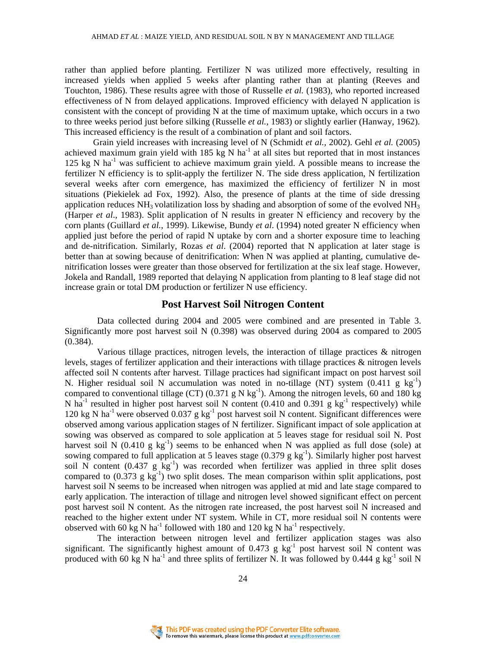rather than applied before planting. Fertilizer N was utilized more effectively, resulting in increased yields when applied 5 weeks after planting rather than at planting (Reeves and Touchton, 1986). These results agree with those of Russelle *et al.* (1983), who reported increased effectiveness of N from delayed applications. Improved efficiency with delayed N application is consistent with the concept of providing N at the time of maximum uptake, which occurs in a two to three weeks period just before silking (Russelle *et al.*, 1983) or slightly earlier (Hanway, 1962). This increased efficiency is the result of a combination of plant and soil factors.

 Grain yield increases with increasing level of N (Schmidt *et al.*, 2002). Gehl *et al.* (2005) achieved maximum grain yield with 185 kg N ha<sup>-1</sup> at all sites but reported that in most instances 125 kg N  $\text{ha}^{-1}$  was sufficient to achieve maximum grain yield. A possible means to increase the fertilizer N efficiency is to split-apply the fertilizer N. The side dress application, N fertilization several weeks after corn emergence, has maximized the efficiency of fertilizer N in most situations (Piekielek ad Fox, 1992). Also, the presence of plants at the time of side dressing application reduces  $NH_3$  volatilization loss by shading and absorption of some of the evolved  $NH_3$ (Harper *et al*., 1983). Split application of N results in greater N efficiency and recovery by the corn plants (Guillard *et al.*, 1999). Likewise, Bundy *et al*. (1994) noted greater N efficiency when applied just before the period of rapid N uptake by corn and a shorter exposure time to leaching and de-nitrification. Similarly, Rozas *et al*. (2004) reported that N application at later stage is better than at sowing because of denitrification: When N was applied at planting, cumulative denitrification losses were greater than those observed for fertilization at the six leaf stage. However, Jokela and Randall, 1989 reported that delaying N application from planting to 8 leaf stage did not increase grain or total DM production or fertilizer N use efficiency.

#### **Post Harvest Soil Nitrogen Content**

 Data collected during 2004 and 2005 were combined and are presented in Table 3. Significantly more post harvest soil N (0.398) was observed during 2004 as compared to 2005 (0.384).

 Various tillage practices, nitrogen levels, the interaction of tillage practices & nitrogen levels, stages of fertilizer application and their interactions with tillage practices & nitrogen levels affected soil N contents after harvest. Tillage practices had significant impact on post harvest soil N. Higher residual soil N accumulation was noted in no-tillage (NT) system  $(0.411 \text{ g kg}^{-1})$ compared to conventional tillage (CT) (0.371 g N kg<sup>-1</sup>). Among the nitrogen levels, 60 and 180 kg N ha<sup>-1</sup> resulted in higher post harvest soil N content  $(0.410$  and  $0.391$  g kg<sup>-1</sup> respectively) while 120 kg N ha<sup>-1</sup> were observed 0.037 g kg<sup>-1</sup> post harvest soil N content. Significant differences were observed among various application stages of N fertilizer. Significant impact of sole application at sowing was observed as compared to sole application at 5 leaves stage for residual soil N. Post harvest soil N  $(0.410 \text{ g kg}^{-1})$  seems to be enhanced when N was applied as full dose (sole) at sowing compared to full application at 5 leaves stage  $(0.379 \text{ g kg}^{-1})$ . Similarly higher post harvest soil N content  $(0.437 \text{ g kg}^{-1})$  was recorded when fertilizer was applied in three split doses compared to  $(0.373 \text{ g kg}^{-1})$  two split doses. The mean comparison within split applications, post harvest soil N seems to be increased when nitrogen was applied at mid and late stage compared to early application. The interaction of tillage and nitrogen level showed significant effect on percent post harvest soil N content. As the nitrogen rate increased, the post harvest soil N increased and reached to the higher extent under NT system. While in CT, more residual soil N contents were observed with 60 kg N ha<sup>-1</sup> followed with 180 and 120 kg N ha<sup>-1</sup> respectively.

 The interaction between nitrogen level and fertilizer application stages was also significant. The significantly highest amount of  $0.473$  g kg<sup>-1</sup> post harvest soil N content was produced with 60 kg N ha<sup>-1</sup> and three splits of fertilizer N. It was followed by 0.444 g kg<sup>-1</sup> soil N

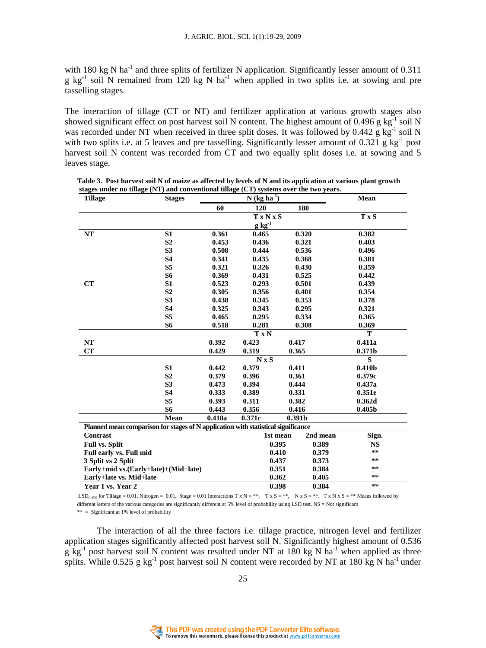with 180 kg N ha<sup>-1</sup> and three splits of fertilizer N application. Significantly lesser amount of 0.311 g kg<sup>-1</sup> soil N remained from 120 kg N ha<sup>-1</sup> when applied in two splits i.e. at sowing and pre tasselling stages.

The interaction of tillage (CT or NT) and fertilizer application at various growth stages also showed significant effect on post harvest soil N content. The highest amount of 0.496 g  $kg^{-1}$  soil N was recorded under NT when received in three split doses. It was followed by  $0.442 \text{ g kg}^{-1}$  soil N with two splits i.e. at 5 leaves and pre tasselling. Significantly lesser amount of 0.321 g kg<sup>-1</sup> post harvest soil N content was recorded from CT and two equally split doses i.e. at sowing and 5 leaves stage.

| <b>Tillage</b>                                                                    | <b>Stages</b>  | $N$ (kg ha $^{-1}$ ) |                                     |                      | Mean               |  |  |
|-----------------------------------------------------------------------------------|----------------|----------------------|-------------------------------------|----------------------|--------------------|--|--|
|                                                                                   |                | 60                   | 120                                 | 180                  |                    |  |  |
|                                                                                   |                |                      | <b>TxNxS</b>                        |                      | T x S              |  |  |
|                                                                                   |                |                      | $g\overline{\mathbf{kg}^{\cdot 1}}$ |                      |                    |  |  |
| NT                                                                                | S <sub>1</sub> | 0.361                | 0.465                               | 0.320                | 0.382              |  |  |
|                                                                                   | S <sub>2</sub> | 0.453                | 0.436                               | 0.321                | 0.403              |  |  |
|                                                                                   | S <sub>3</sub> | 0.508                | 0.444                               | 0.536                | 0.496              |  |  |
|                                                                                   | <b>S4</b>      | 0.341                | 0.435                               | 0.368                | 0.381              |  |  |
|                                                                                   | S <sub>5</sub> | 0.321                | 0.326                               | 0.430                | 0.359              |  |  |
|                                                                                   | S6             | 0.369                | 0.431                               | 0.525                | 0.442              |  |  |
| CT                                                                                | S <sub>1</sub> | 0.523                | 0.293                               | 0.501                | 0.439              |  |  |
|                                                                                   | S <sub>2</sub> | 0.305                | 0.356                               | 0.401                | 0.354              |  |  |
|                                                                                   | S <sub>3</sub> | 0.438                | 0.345                               | 0.353                | 0.378              |  |  |
|                                                                                   | <b>S4</b>      | 0.325                | 0.343                               | 0.295                | 0.321              |  |  |
|                                                                                   | S <sub>5</sub> | 0.465                | 0.295                               | 0.334                | 0.365              |  |  |
|                                                                                   | S6             | 0.518                | 0.281                               | 0.308                | 0.369              |  |  |
|                                                                                   |                | T<br><b>TxN</b>      |                                     |                      |                    |  |  |
| NT                                                                                |                | 0.392                | 0.423                               | 0.417                | 0.411a             |  |  |
| CT                                                                                |                | 0.429                | 0.319                               | 0.365                | 0.371b             |  |  |
|                                                                                   |                |                      | $N \times S$                        |                      | S                  |  |  |
|                                                                                   | S <sub>1</sub> | 0.442                | 0.379                               | 0.411                | 0.410 <sub>b</sub> |  |  |
|                                                                                   | S <sub>2</sub> | 0.379                | 0.396                               | 0.361                | 0.379c             |  |  |
|                                                                                   | S <sub>3</sub> | 0.473                | 0.394                               | 0.444                | 0.437a             |  |  |
|                                                                                   | <b>S4</b>      | 0.333                | 0.389                               | 0.331                | 0.351e             |  |  |
|                                                                                   | S5             | 0.393                | 0.311                               | 0.382                | 0.362d             |  |  |
|                                                                                   | S6             | 0.443                | 0.356                               | 0.416                | 0.405 <sub>b</sub> |  |  |
|                                                                                   | Mean           | 0.410a               | 0.371c                              | 0.391 <sub>b</sub>   |                    |  |  |
| Planned mean comparison for stages of N application with statistical significance |                |                      |                                     |                      |                    |  |  |
| Contrast                                                                          |                |                      |                                     | 2nd mean<br>1st mean | Sign.              |  |  |
| <b>Full vs. Split</b>                                                             |                |                      |                                     | 0.395<br>0.389       | <b>NS</b>          |  |  |
| Full early vs. Full mid                                                           |                |                      |                                     | 0.410<br>0.379       | $\star\star$       |  |  |
| 3 Split vs 2 Split                                                                |                |                      |                                     | 0.437<br>0.373       | $\star$ $\star$    |  |  |
| Early+mid vs.(Early+late)+(Mid+late)                                              |                |                      |                                     | 0.384<br>0.351       | **                 |  |  |
| Early+late vs. Mid+late                                                           |                |                      |                                     | 0.362<br>0.405       | **                 |  |  |
| Year 1 vs. Year 2                                                                 |                |                      |                                     | 0.398<br>0.384       | $**$               |  |  |

 **Table 3. Post harvest soil N of maize as affected by levels of N and its application at various plant growth stages under no tillage (NT) and conventional tillage (CT) systems over the two years.** 

LSD<sub>(0.05)</sub> for Tillage = 0.01, Nitrogen = 0.01, Stage = 0.01 Interactions T x N = \*\*, T x S = \*\*, N x S = \*\*, T x N x S = \*\* Means followed by different letters of the various categories are significantly different at 5% level of probability using LSD test. NS = Not significant

 $**$  = Significant at 1% level of probability

 The interaction of all the three factors i.e. tillage practice, nitrogen level and fertilizer application stages significantly affected post harvest soil N. Significantly highest amount of 0.536  $g$  kg<sup>-1</sup> post harvest soil N content was resulted under NT at 180 kg N ha<sup>-1</sup> when applied as three splits. While 0.525 g kg<sup>-1</sup> post harvest soil N content were recorded by NT at 180 kg N ha<sup>-1</sup> under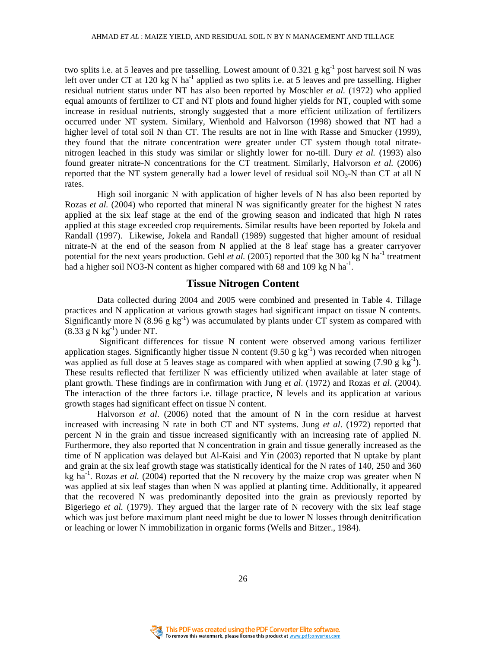two splits i.e. at 5 leaves and pre tasselling. Lowest amount of  $0.321$  g kg<sup>-1</sup> post harvest soil N was left over under CT at 120 kg N ha<sup>-1</sup> applied as two splits i.e. at 5 leaves and pre tasselling. Higher residual nutrient status under NT has also been reported by Moschler *et al.* (1972) who applied equal amounts of fertilizer to CT and NT plots and found higher yields for NT, coupled with some increase in residual nutrients, strongly suggested that a more efficient utilization of fertilizers occurred under NT system. Similary, Wienhold and Halvorson (1998) showed that NT had a higher level of total soil N than CT. The results are not in line with Rasse and Smucker (1999), they found that the nitrate concentration were greater under CT system though total nitratenitrogen leached in this study was similar or slightly lower for no-till. Dury *et al.* (1993) also found greater nitrate-N concentrations for the CT treatment. Similarly, Halvorson *et al.* (2006) reported that the NT system generally had a lower level of residual soil  $NO<sub>3</sub>-N$  than CT at all N rates.

 High soil inorganic N with application of higher levels of N has also been reported by Rozas *et al.* (2004) who reported that mineral N was significantly greater for the highest N rates applied at the six leaf stage at the end of the growing season and indicated that high N rates applied at this stage exceeded crop requirements. Similar results have been reported by Jokela and Randall (1997). Likewise, Jokela and Randall (1989) suggested that higher amount of residual nitrate-N at the end of the season from N applied at the 8 leaf stage has a greater carryover potential for the next years production. Gehl *et al.* (2005) reported that the 300 kg N ha<sup>-1</sup> treatment had a higher soil NO3-N content as higher compared with  $68$  and  $109$  kg N ha<sup>-1</sup>.

### **Tissue Nitrogen Content**

 Data collected during 2004 and 2005 were combined and presented in Table 4. Tillage practices and N application at various growth stages had significant impact on tissue N contents. Significantly more N (8.96 g kg<sup>-1</sup>) was accumulated by plants under CT system as compared with  $(8.33 \text{ g N kg}^{-1})$  under NT.

 Significant differences for tissue N content were observed among various fertilizer application stages. Significantly higher tissue N content  $(9.50 \text{ g kg}^{-1})$  was recorded when nitrogen was applied as full dose at 5 leaves stage as compared with when applied at sowing  $(7.90 \text{ g kg}^{-1})$ . These results reflected that fertilizer N was efficiently utilized when available at later stage of plant growth. These findings are in confirmation with Jung *et al*. (1972) and Rozas *et al*. (2004). The interaction of the three factors i.e. tillage practice, N levels and its application at various growth stages had significant effect on tissue N content.

 Halvorson *et al*. (2006) noted that the amount of N in the corn residue at harvest increased with increasing N rate in both CT and NT systems. Jung *et al*. (1972) reported that percent N in the grain and tissue increased significantly with an increasing rate of applied N. Furthermore, they also reported that N concentration in grain and tissue generally increased as the time of N application was delayed but Al-Kaisi and Yin (2003) reported that N uptake by plant and grain at the six leaf growth stage was statistically identical for the N rates of 140, 250 and 360 kg ha<sup>-1</sup>. Rozas *et al.* (2004) reported that the N recovery by the maize crop was greater when N was applied at six leaf stages than when N was applied at planting time. Additionally, it appeared that the recovered N was predominantly deposited into the grain as previously reported by Bigeriego *et al.* (1979). They argued that the larger rate of N recovery with the six leaf stage which was just before maximum plant need might be due to lower N losses through denitrification or leaching or lower N immobilization in organic forms (Wells and Bitzer., 1984).

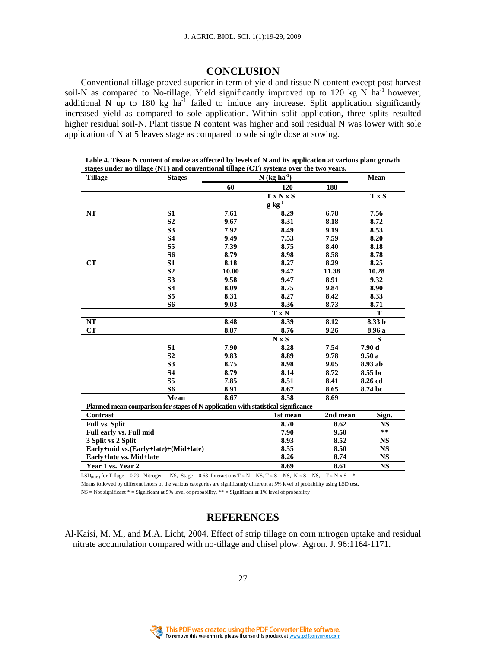### **CONCLUSION**

Conventional tillage proved superior in term of yield and tissue N content except post harvest soil-N as compared to No-tillage. Yield significantly improved up to 120 kg N  $\hat{ha}^{-1}$  however, additional N up to 180 kg  $ha^{-1}$  failed to induce any increase. Split application significantly increased yield as compared to sole application. Within split application, three splits resulted higher residual soil-N. Plant tissue N content was higher and soil residual N was lower with sole application of N at 5 leaves stage as compared to sole single dose at sowing.

| <b>Tillage</b>                                                                    | <b>Stages</b>  |       | Mean         |          |               |  |  |
|-----------------------------------------------------------------------------------|----------------|-------|--------------|----------|---------------|--|--|
|                                                                                   |                | 60    | 120          | 180      |               |  |  |
|                                                                                   |                |       | <b>TxNxS</b> |          | $T \times S$  |  |  |
|                                                                                   |                |       | $g kg^{-1}$  |          |               |  |  |
| NT                                                                                | S <sub>1</sub> | 7.61  | 8.29         | 6.78     | 7.56          |  |  |
|                                                                                   | S <sub>2</sub> | 9.67  | 8.31         | 8.18     | 8.72          |  |  |
|                                                                                   | S <sub>3</sub> | 7.92  | 8.49         | 9.19     | 8.53          |  |  |
|                                                                                   | <b>S4</b>      | 9.49  | 7.53         | 7.59     | 8.20          |  |  |
|                                                                                   | S <sub>5</sub> | 7.39  | 8.75         | 8.40     | 8.18          |  |  |
|                                                                                   | S6             | 8.79  | 8.98         | 8.58     | 8.78          |  |  |
| CT                                                                                | S <sub>1</sub> | 8.18  | 8.27         | 8.29     | 8.25          |  |  |
|                                                                                   | S <sub>2</sub> | 10.00 | 9.47         | 11.38    | 10.28         |  |  |
|                                                                                   | S <sub>3</sub> | 9.58  | 9.47         | 8.91     | 9.32          |  |  |
|                                                                                   | <b>S4</b>      | 8.09  | 8.75         | 9.84     | 8.90          |  |  |
|                                                                                   | S <sub>5</sub> | 8.31  | 8.27         | 8.42     | 8.33          |  |  |
|                                                                                   | S6             | 9.03  | 8.36         | 8.73     | 8.71          |  |  |
|                                                                                   |                |       | <b>TxN</b>   |          | T             |  |  |
| NT                                                                                |                | 8.48  | 8.39         | 8.12     | 8.33 b        |  |  |
| CT                                                                                |                | 8.87  | 8.76         | 9.26     | 8.96 a        |  |  |
|                                                                                   |                |       | $N \times S$ |          | S             |  |  |
|                                                                                   | S <sub>1</sub> | 7.90  | 8.28         | 7.54     | 7.90d         |  |  |
|                                                                                   | S <sub>2</sub> | 9.83  | 8.89         | 9.78     | 9.50a         |  |  |
|                                                                                   | S <sub>3</sub> | 8.75  | 8.98         | 9.05     | 8.93 ab       |  |  |
|                                                                                   | <b>S4</b>      | 8.79  | 8.14         | 8.72     | 8.55 bc       |  |  |
|                                                                                   | S <sub>5</sub> | 7.85  | 8.51         | 8.41     | 8.26 cd       |  |  |
|                                                                                   | <b>S6</b>      | 8.91  | 8.67         | 8.65     | 8.74 bc       |  |  |
|                                                                                   | Mean           | 8.67  | 8.58         | 8.69     |               |  |  |
| Planned mean comparison for stages of N application with statistical significance |                |       |              |          |               |  |  |
| Contrast                                                                          |                |       | 1st mean     | 2nd mean | Sign.         |  |  |
| <b>Full vs. Split</b>                                                             |                |       | 8.70         | 8.62     | <b>NS</b>     |  |  |
| Full early vs. Full mid                                                           |                |       | 7.90         | 9.50     | $\star \star$ |  |  |
| 3 Split vs 2 Split                                                                |                |       | 8.93         | 8.52     | <b>NS</b>     |  |  |
| Early+mid vs.(Early+late)+(Mid+late)                                              |                |       | 8.55         | 8.50     | <b>NS</b>     |  |  |
| Early+late vs. Mid+late                                                           |                |       | 8.26         | 8.74     | <b>NS</b>     |  |  |
| Year 1 vs. Year 2                                                                 |                |       | 8.69         | 8.61     | <b>NS</b>     |  |  |

 **Table 4. Tissue N content of maize as affected by levels of N and its application at various plant growth stages under no tillage (NT) and conventional tillage (CT) systems over the two years.** 

LSD<sub>(0.05)</sub> for Tillage = 0.29, Nitrogen = NS, Stage = 0.63 Interactions T x N = NS, T x S = NS, N x S = NS, T x N x S = \* Means followed by different letters of the various categories are significantly different at 5% level of probability using LSD test.

 $NS = Not significant * = Significant at 5% level of probability, ** = Significant at 1% level of probability$ 

# **REFERENCES**

Al-Kaisi, M. M., and M.A. Licht, 2004. Effect of strip tillage on corn nitrogen uptake and residual nitrate accumulation compared with no-tillage and chisel plow. Agron. J. 96:1164-1171.

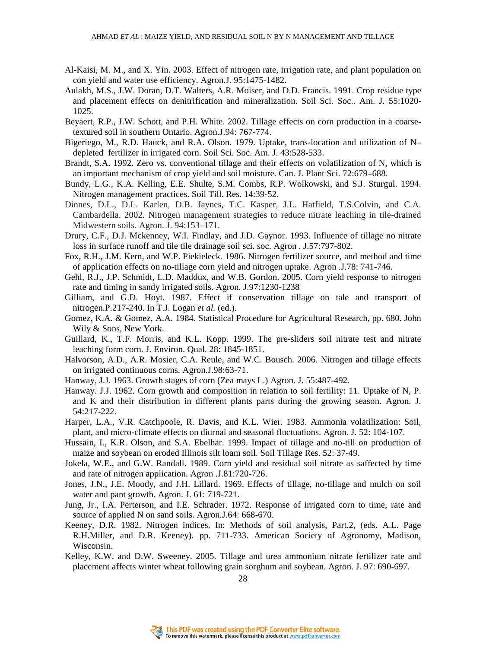- Al-Kaisi, M. M., and X. Yin. 2003. Effect of nitrogen rate, irrigation rate, and plant population on con yield and water use efficiency. Agron.J. 95:1475-1482.
- Aulakh, M.S., J.W. Doran, D.T. Walters, A.R. Moiser, and D.D. Francis. 1991. Crop residue type and placement effects on denitrification and mineralization. Soil Sci. Soc.. Am. J. 55:1020- 1025.
- Beyaert, R.P., J.W. Schott, and P.H. White. 2002. Tillage effects on corn production in a coarsetextured soil in southern Ontario. Agron.J.94: 767-774.
- Bigeriego, M., R.D. Hauck, and R.A. Olson. 1979. Uptake, trans-location and utilization of N– depleted fertilizer in irrigated corn. Soil Sci. Soc. Am. J. 43:528-533.
- Brandt, S.A. 1992. Zero vs. conventional tillage and their effects on volatilization of N, which is an important mechanism of crop yield and soil moisture. Can. J. Plant Sci. 72:679–688.
- Bundy, L.G., K.A. Kelling, E.E. Shulte, S.M. Combs, R.P. Wolkowski, and S.J. Sturgul. 1994. Nitrogen management practices. Soil Till. Res. 14:39-52.
- Dinnes, D.L., D.L. Karlen, D.B. Jaynes, T.C. Kasper, J.L. Hatfield, T.S.Colvin, and C.A. Cambardella. 2002. Nitrogen management strategies to reduce nitrate leaching in tile-drained Midwestern soils. Agron. J. 94:153–171.
- Drury, C.F., D.J. Mckenney, W.I. Findlay, and J.D. Gaynor. 1993. Influence of tillage no nitrate loss in surface runoff and tile tile drainage soil sci. soc. Agron . J.57:797-802.
- Fox, R.H., J.M. Kern, and W.P. Piekieleck. 1986. Nitrogen fertilizer source, and method and time of application effects on no-tillage corn yield and nitrogen uptake. Agron .J.78: 741-746.
- Gehl, R.J., J.P. Schmidt, L.D. Maddux, and W.B. Gordon. 2005. Corn yield response to nitrogen rate and timing in sandy irrigated soils. Agron. J.97:1230-1238
- Gilliam, and G.D. Hoyt. 1987. Effect if conservation tillage on tale and transport of nitrogen.P.217-240. In T.J. Logan *et al.* (ed.).
- Gomez, K.A. & Gomez, A.A. 1984. Statistical Procedure for Agricultural Research, pp. 680. John Wily & Sons, New York.
- Guillard, K., T.F. Morris, and K.L. Kopp. 1999. The pre-sliders soil nitrate test and nitrate leaching form corn. J. Environ. Qual. 28: 1845-1851.
- Halvorson, A.D., A.R. Mosier, C.A. Reule, and W.C. Bousch. 2006. Nitrogen and tillage effects on irrigated continuous corns. Agron.J.98:63-71.
- Hanway, J.J. 1963. Growth stages of corn (Zea mays L.) Agron. J. 55:487-492.
- Hanway. J.J. 1962. Corn growth and composition in relation to soil fertility: 11. Uptake of N, P. and K and their distribution in different plants parts during the growing season. Agron. J. 54:217-222.
- Harper, L.A., V.R. Catchpoole, R. Davis, and K.L. Wier. 1983. Ammonia volatilization: Soil, plant, and micro-climate effects on diurnal and seasonal fluctuations. Agron. J. 52: 104-107.
- Hussain, I., K.R. Olson, and S.A. Ebelhar. 1999. Impact of tillage and no-till on production of maize and soybean on eroded Illinois silt loam soil. Soil Tillage Res. 52: 37-49.
- Jokela, W.E., and G.W. Randall. 1989. Corn yield and residual soil nitrate as saffected by time and rate of nitrogen application. Agron .J.81:720-726.
- Jones, J.N., J.E. Moody, and J.H. Lillard. 1969. Effects of tillage, no-tillage and mulch on soil water and pant growth. Agron. J. 61: 719-721.
- Jung, Jr., I.A. Perterson, and I.E. Schrader. 1972. Response of irrigated corn to time, rate and source of applied N on sand soils. Agron.J.64: 668-670.
- Keeney, D.R. 1982. Nitrogen indices. In: Methods of soil analysis, Part.2, (eds. A.L. Page R.H.Miller, and D.R. Keeney). pp. 711-733. American Society of Agronomy, Madison, Wisconsin.
- Kelley, K.W. and D.W. Sweeney. 2005. Tillage and urea ammonium nitrate fertilizer rate and placement affects winter wheat following grain sorghum and soybean. Agron. J. 97: 690-697.